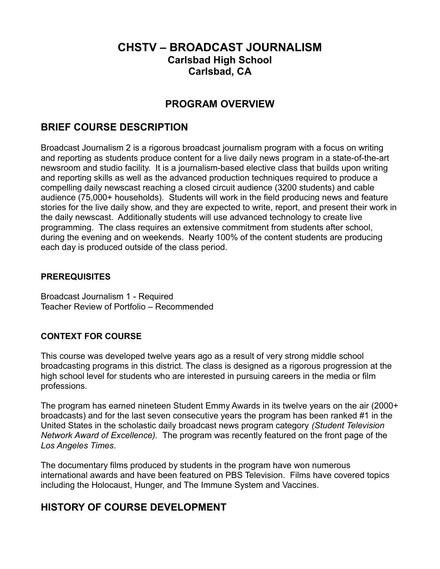## **CHSTV – BROADCAST JOURNALISM Carlsbad High School Carlsbad, CA**

## **PROGRAM OVERVIEW**

## **BRIEF COURSE DESCRIPTION**

Broadcast Journalism 2 is a rigorous broadcast journalism program with a focus on writing and reporting as students produce content for a live daily news program in a state-of-the-art newsroom and studio facility. It is a journalism-based elective class that builds upon writing and reporting skills as well as the advanced production techniques required to produce a compelling daily newscast reaching a closed circuit audience (3200 students) and cable audience (75,000+ households). Students will work in the field producing news and feature stories for the live daily show, and they are expected to write, report, and present their work in the daily newscast. Additionally students will use advanced technology to create live programming. The class requires an extensive commitment from students after school, during the evening and on weekends. Nearly 100% of the content students are producing each day is produced outside of the class period.

#### **PREREQUISITES**

Broadcast Journalism 1 - Required Teacher Review of Portfolio – Recommended

#### **CONTEXT FOR COURSE**

This course was developed twelve years ago as a result of very strong middle school broadcasting programs in this district. The class is designed as a rigorous progression at the high school level for students who are interested in pursuing careers in the media or film professions.

The program has earned nineteen Student Emmy Awards in its twelve years on the air (2000+ broadcasts) and for the last seven consecutive years the program has been ranked #1 in the United States in the scholastic daily broadcast news program category *(Student Television Network Award of Excellence).* The program was recently featured on the front page of the *Los Angeles Times*.

The documentary films produced by students in the program have won numerous international awards and have been featured on PBS Television. Films have covered topics including the Holocaust, Hunger, and The Immune System and Vaccines.

## **HISTORY OF COURSE DEVELOPMENT**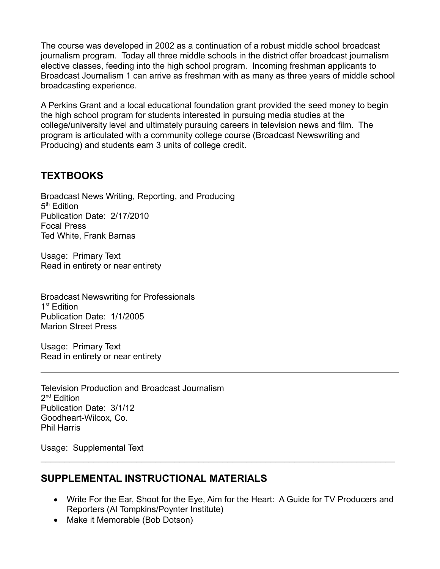The course was developed in 2002 as a continuation of a robust middle school broadcast journalism program. Today all three middle schools in the district offer broadcast journalism elective classes, feeding into the high school program. Incoming freshman applicants to Broadcast Journalism 1 can arrive as freshman with as many as three years of middle school broadcasting experience.

A Perkins Grant and a local educational foundation grant provided the seed money to begin the high school program for students interested in pursuing media studies at the college/university level and ultimately pursuing careers in television news and film. The program is articulated with a community college course (Broadcast Newswriting and Producing) and students earn 3 units of college credit.

## **TEXTBOOKS**

Broadcast News Writing, Reporting, and Producing 5<sup>th</sup> Edition Publication Date: 2/17/2010 Focal Press Ted White, Frank Barnas

Usage: Primary Text Read in entirety or near entirety

Broadcast Newswriting for Professionals 1<sup>st</sup> Edition Publication Date: 1/1/2005 Marion Street Press

Usage: Primary Text Read in entirety or near entirety

Television Production and Broadcast Journalism 2<sup>nd</sup> Edition Publication Date: 3/1/12 Goodheart-Wilcox, Co. Phil Harris

Usage: Supplemental Text

## **SUPPLEMENTAL INSTRUCTIONAL MATERIALS**

 Write For the Ear, Shoot for the Eye, Aim for the Heart: A Guide for TV Producers and Reporters (Al Tompkins/Poynter Institute)

 $\_$ 

• Make it Memorable (Bob Dotson)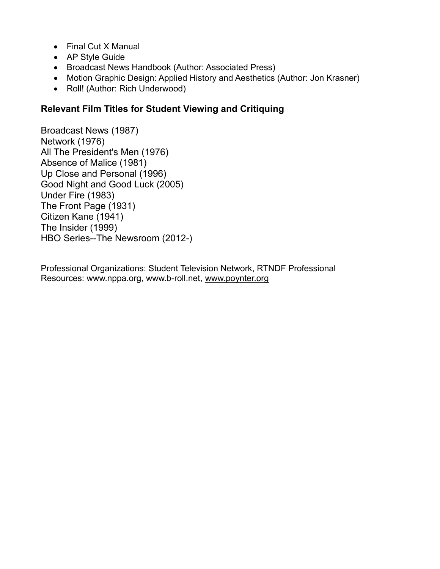- Final Cut X Manual
- AP Style Guide
- Broadcast News Handbook (Author: Associated Press)
- Motion Graphic Design: Applied History and Aesthetics (Author: Jon Krasner)
- Roll! (Author: Rich Underwood)

## **Relevant Film Titles for Student Viewing and Critiquing**

Broadcast News (1987) Network (1976) All The President's Men (1976) Absence of Malice (1981) Up Close and Personal (1996) Good Night and Good Luck (2005) Under Fire (1983) The Front Page (1931) Citizen Kane (1941) The Insider (1999) HBO Series--The Newsroom (2012-)

Professional Organizations: Student Television Network, RTNDF Professional Resources: www.nppa.org, www.b-roll.net, [www.poynter.org](http://www.poynter.org/)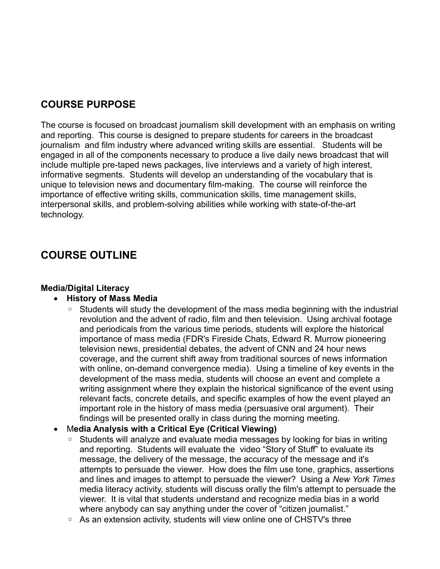## **COURSE PURPOSE**

The course is focused on broadcast journalism skill development with an emphasis on writing and reporting. This course is designed to prepare students for careers in the broadcast journalism and film industry where advanced writing skills are essential. Students will be engaged in all of the components necessary to produce a live daily news broadcast that will include multiple pre-taped news packages, live interviews and a variety of high interest, informative segments. Students will develop an understanding of the vocabulary that is unique to television news and documentary film-making. The course will reinforce the importance of effective writing skills, communication skills, time management skills, interpersonal skills, and problem-solving abilities while working with state-of-the-art technology.

# **COURSE OUTLINE**

#### **Media/Digital Literacy**

#### **History of Mass Media**

◦ Students will study the development of the mass media beginning with the industrial revolution and the advent of radio, film and then television. Using archival footage and periodicals from the various time periods, students will explore the historical importance of mass media (FDR's Fireside Chats, Edward R. Murrow pioneering television news, presidential debates, the advent of CNN and 24 hour news coverage, and the current shift away from traditional sources of news information with online, on-demand convergence media). Using a timeline of key events in the development of the mass media, students will choose an event and complete a writing assignment where they explain the historical significance of the event using relevant facts, concrete details, and specific examples of how the event played an important role in the history of mass media (persuasive oral argument). Their findings will be presented orally in class during the morning meeting.

#### M**edia Analysis with a Critical Eye (Critical Viewing)**

- Students will analyze and evaluate media messages by looking for bias in writing and reporting. Students will evaluate the video "Story of Stuff" to evaluate its message, the delivery of the message, the accuracy of the message and it's attempts to persuade the viewer. How does the film use tone, graphics, assertions and lines and images to attempt to persuade the viewer? Using a *New York Times* media literacy activity, students will discuss orally the film's attempt to persuade the viewer. It is vital that students understand and recognize media bias in a world where anybody can say anything under the cover of "citizen journalist."
- As an extension activity, students will view online one of CHSTV's three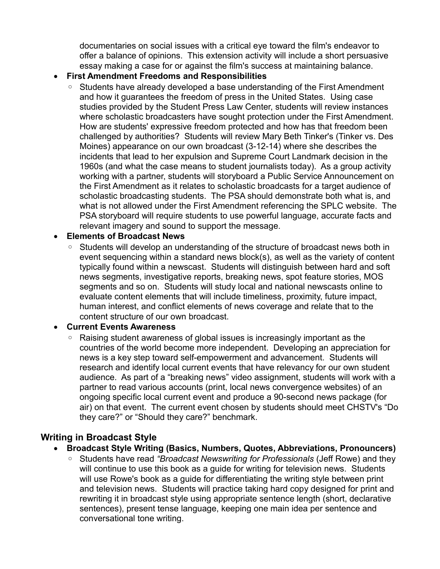documentaries on social issues with a critical eye toward the film's endeavor to offer a balance of opinions. This extension activity will include a short persuasive essay making a case for or against the film's success at maintaining balance.

#### **First Amendment Freedoms and Responsibilities**

◦ Students have already developed a base understanding of the First Amendment and how it guarantees the freedom of press in the United States. Using case studies provided by the Student Press Law Center, students will review instances where scholastic broadcasters have sought protection under the First Amendment. How are students' expressive freedom protected and how has that freedom been challenged by authorities? Students will review Mary Beth Tinker's (Tinker vs. Des Moines) appearance on our own broadcast (3-12-14) where she describes the incidents that lead to her expulsion and Supreme Court Landmark decision in the 1960s (and what the case means to student journalists today). As a group activity working with a partner, students will storyboard a Public Service Announcement on the First Amendment as it relates to scholastic broadcasts for a target audience of scholastic broadcasting students. The PSA should demonstrate both what is, and what is not allowed under the First Amendment referencing the SPLC website. The PSA storyboard will require students to use powerful language, accurate facts and relevant imagery and sound to support the message.

#### **Elements of Broadcast News**

Students will develop an understanding of the structure of broadcast news both in event sequencing within a standard news block(s), as well as the variety of content typically found within a newscast. Students will distinguish between hard and soft news segments, investigative reports, breaking news, spot feature stories, MOS segments and so on. Students will study local and national newscasts online to evaluate content elements that will include timeliness, proximity, future impact, human interest, and conflict elements of news coverage and relate that to the content structure of our own broadcast.

#### **Current Events Awareness**

Raising student awareness of global issues is increasingly important as the countries of the world become more independent. Developing an appreciation for news is a key step toward self-empowerment and advancement. Students will research and identify local current events that have relevancy for our own student audience. As part of a "breaking news" video assignment, students will work with a partner to read various accounts (print, local news convergence websites) of an ongoing specific local current event and produce a 90-second news package (for air) on that event. The current event chosen by students should meet CHSTV's "Do they care?" or "Should they care?" benchmark.

## **Writing in Broadcast Style**

- **Broadcast Style Writing (Basics, Numbers, Quotes, Abbreviations, Pronouncers)**
	- Students have read *"Broadcast Newswriting for Professionals* (Jeff Rowe) and they will continue to use this book as a guide for writing for television news. Students will use Rowe's book as a guide for differentiating the writing style between print and television news. Students will practice taking hard copy designed for print and rewriting it in broadcast style using appropriate sentence length (short, declarative sentences), present tense language, keeping one main idea per sentence and conversational tone writing.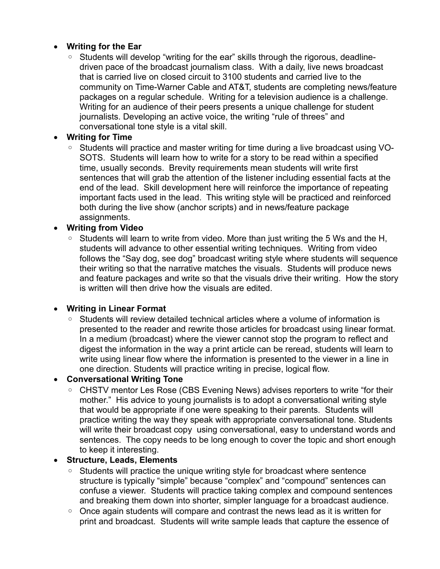### **Writing for the Ear**

◦ Students will develop "writing for the ear" skills through the rigorous, deadlinedriven pace of the broadcast journalism class. With a daily, live news broadcast that is carried live on closed circuit to 3100 students and carried live to the community on Time-Warner Cable and AT&T, students are completing news/feature packages on a regular schedule. Writing for a television audience is a challenge. Writing for an audience of their peers presents a unique challenge for student journalists. Developing an active voice, the writing "rule of threes" and conversational tone style is a vital skill.

### **Writing for Time**

◦ Students will practice and master writing for time during a live broadcast using VO-SOTS. Students will learn how to write for a story to be read within a specified time, usually seconds. Brevity requirements mean students will write first sentences that will grab the attention of the listener including essential facts at the end of the lead. Skill development here will reinforce the importance of repeating important facts used in the lead. This writing style will be practiced and reinforced both during the live show (anchor scripts) and in news/feature package assignments.

### **Writing from Video**

◦ Students will learn to write from video. More than just writing the 5 Ws and the H, students will advance to other essential writing techniques. Writing from video follows the "Say dog, see dog" broadcast writing style where students will sequence their writing so that the narrative matches the visuals. Students will produce news and feature packages and write so that the visuals drive their writing. How the story is written will then drive how the visuals are edited.

#### **Writing in Linear Format**

Students will review detailed technical articles where a volume of information is presented to the reader and rewrite those articles for broadcast using linear format. In a medium (broadcast) where the viewer cannot stop the program to reflect and digest the information in the way a print article can be reread, students will learn to write using linear flow where the information is presented to the viewer in a line in one direction. Students will practice writing in precise, logical flow.

#### **Conversational Writing Tone**

◦ CHSTV mentor Les Rose (CBS Evening News) advises reporters to write "for their mother." His advice to young journalists is to adopt a conversational writing style that would be appropriate if one were speaking to their parents. Students will practice writing the way they speak with appropriate conversational tone. Students will write their broadcast copy using conversational, easy to understand words and sentences. The copy needs to be long enough to cover the topic and short enough to keep it interesting.

#### **Structure, Leads, Elements**

- Students will practice the unique writing style for broadcast where sentence structure is typically "simple" because "complex" and "compound" sentences can confuse a viewer. Students will practice taking complex and compound sentences and breaking them down into shorter, simpler language for a broadcast audience.
- Once again students will compare and contrast the news lead as it is written for print and broadcast. Students will write sample leads that capture the essence of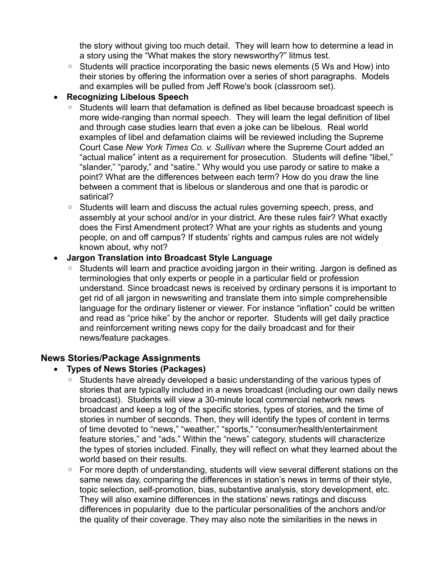the story without giving too much detail. They will learn how to determine a lead in a story using the "What makes the story newsworthy?" litmus test.

◦ Students will practice incorporating the basic news elements (5 Ws and How) into their stories by offering the information over a series of short paragraphs. Models and examples will be pulled from Jeff Rowe's book (classroom set).

### **Recognizing Libelous Speech**

- Students will learn that defamation is defined as libel because broadcast speech is more wide-ranging than normal speech. They will learn the legal definition of libel and through case studies learn that even a joke can be libelous. Real world examples of libel and defamation claims will be reviewed including the Supreme Court Case *New York Times Co. v. Sullivan* where the Supreme Court added an "actual malice" intent as a requirement for prosecution. Students will define "libel," "slander," "parody," and "satire." Why would you use parody or satire to make a point? What are the differences between each term? How do you draw the line between a comment that is libelous or slanderous and one that is parodic or satirical?
- Students will learn and discuss the actual rules governing speech, press, and assembly at your school and/or in your district. Are these rules fair? What exactly does the First Amendment protect? What are your rights as students and young people, on and off campus? If students' rights and campus rules are not widely known about, why not?

## **Jargon Translation into Broadcast Style Language**

◦ Students will learn and practice avoiding jargon in their writing. Jargon is defined as terminologies that only experts or people in a particular field or profession understand. Since broadcast news is received by ordinary persons it is important to get rid of all jargon in newswriting and translate them into simple comprehensible language for the ordinary listener or viewer. For instance "inflation" could be written and read as "price hike" by the anchor or reporter. Students will get daily practice and reinforcement writing news copy for the daily broadcast and for their news/feature packages.

## **News Stories/Package Assignments**

## **Types of News Stories (Packages)**

- Students have already developed a basic understanding of the various types of stories that are typically included in a news broadcast (including our own daily news broadcast). Students will view a 30-minute local commercial network news broadcast and keep a log of the specific stories, types of stories, and the time of stories in number of seconds. Then, they will identify the types of content in terms of time devoted to "news," "weather," "sports," "consumer/health/entertainment feature stories," and "ads." Within the "news" category, students will characterize the types of stories included. Finally, they will reflect on what they learned about the world based on their results.
- For more depth of understanding, students will view several different stations on the same news day, comparing the differences in station's news in terms of their style, topic selection, self-promotion, bias, substantive analysis, story development, etc. They will also examine differences in the stations' news ratings and discuss differences in popularity due to the particular personalities of the anchors and/or the quality of their coverage. They may also note the similarities in the news in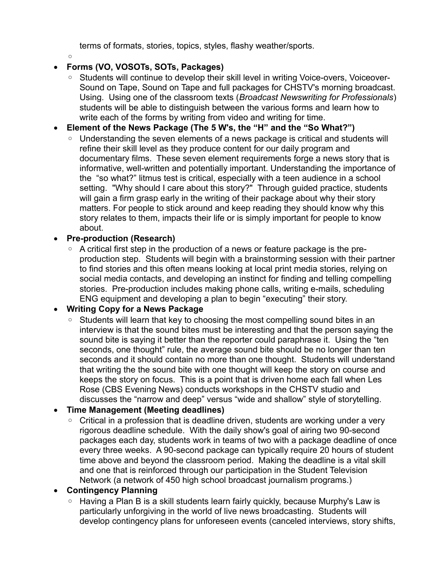terms of formats, stories, topics, styles, flashy weather/sports.

 $^{\circ}$ 

### **Forms (VO, VOSOTs, SOTs, Packages)**

- Students will continue to develop their skill level in writing Voice-overs, Voiceover-Sound on Tape, Sound on Tape and full packages for CHSTV's morning broadcast. Using. Using one of the classroom texts (*Broadcast Newswriting for Professionals*) students will be able to distinguish between the various forms and learn how to write each of the forms by writing from video and writing for time.
- **Element of the News Package (The 5 W's, the "H" and the "So What?")**
	- Understanding the seven elements of a news package is critical and students will refine their skill level as they produce content for our daily program and documentary films. These seven element requirements forge a news story that is informative, well-written and potentially important. Understanding the importance of the "so what?" litmus test is critical, especially with a teen audience in a school setting. "Why should I care about this story?" Through guided practice, students will gain a firm grasp early in the writing of their package about why their story matters. For people to stick around and keep reading they should know why this story relates to them, impacts their life or is simply important for people to know about.

### **Pre-production (Research)**

◦ A critical first step in the production of a news or feature package is the preproduction step. Students will begin with a brainstorming session with their partner to find stories and this often means looking at local print media stories, relying on social media contacts, and developing an instinct for finding and telling compelling stories. Pre-production includes making phone calls, writing e-mails, scheduling ENG equipment and developing a plan to begin "executing" their story.

## **Writing Copy for a News Package**

◦ Students will learn that key to choosing the most compelling sound bites in an interview is that the sound bites must be interesting and that the person saying the sound bite is saying it better than the reporter could paraphrase it. Using the "ten seconds, one thought" rule, the average sound bite should be no longer than ten seconds and it should contain no more than one thought. Students will understand that writing the the sound bite with one thought will keep the story on course and keeps the story on focus. This is a point that is driven home each fall when Les Rose (CBS Evening News) conducts workshops in the CHSTV studio and discusses the "narrow and deep" versus "wide and shallow" style of storytelling.

## **Time Management (Meeting deadlines)**

◦ Critical in a profession that is deadline driven, students are working under a very rigorous deadline schedule. With the daily show's goal of airing two 90-second packages each day, students work in teams of two with a package deadline of once every three weeks. A 90-second package can typically require 20 hours of student time above and beyond the classroom period. Making the deadline is a vital skill and one that is reinforced through our participation in the Student Television Network (a network of 450 high school broadcast journalism programs.)

## **Contingency Planning**

Having a Plan B is a skill students learn fairly quickly, because Murphy's Law is particularly unforgiving in the world of live news broadcasting. Students will develop contingency plans for unforeseen events (canceled interviews, story shifts,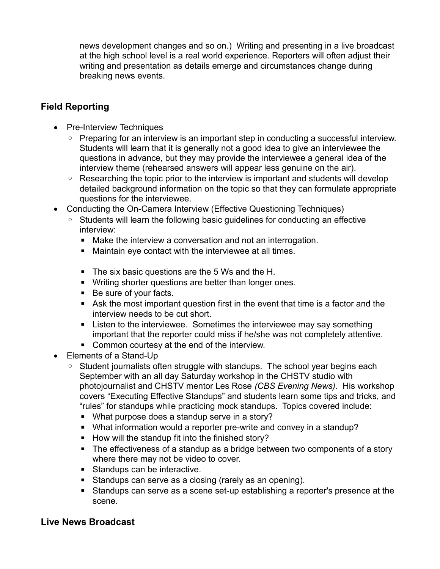news development changes and so on.) Writing and presenting in a live broadcast at the high school level is a real world experience. Reporters will often adjust their writing and presentation as details emerge and circumstances change during breaking news events.

## **Field Reporting**

- Pre-Interview Techniques
	- Preparing for an interview is an important step in conducting a successful interview. Students will learn that it is generally not a good idea to give an interviewee the questions in advance, but they may provide the interviewee a general idea of the interview theme (rehearsed answers will appear less genuine on the air).
	- Researching the topic prior to the interview is important and students will develop detailed background information on the topic so that they can formulate appropriate questions for the interviewee.
- Conducting the On-Camera Interview (Effective Questioning Techniques)
	- Students will learn the following basic guidelines for conducting an effective interview:
		- Make the interview a conversation and not an interrogation.
		- Maintain eye contact with the interviewee at all times.
		- The six basic questions are the 5 Ws and the H.
		- **E** Writing shorter questions are better than longer ones.
		- Be sure of your facts.
		- Ask the most important question first in the event that time is a factor and the interview needs to be cut short.
		- Listen to the interviewee. Sometimes the interviewee may say something important that the reporter could miss if he/she was not completely attentive.
		- Common courtesy at the end of the interview.
- Elements of a Stand-Up
	- Student journalists often struggle with standups. The school year begins each September with an all day Saturday workshop in the CHSTV studio with photojournalist and CHSTV mentor Les Rose *(CBS Evening News).* His workshop covers "Executing Effective Standups" and students learn some tips and tricks, and "rules" for standups while practicing mock standups. Topics covered include:
		- What purpose does a standup serve in a story?
		- What information would a reporter pre-write and convey in a standup?
		- How will the standup fit into the finished story?
		- The effectiveness of a standup as a bridge between two components of a story where there may not be video to cover.
		- Standups can be interactive.
		- Standups can serve as a closing (rarely as an opening).
		- Standups can serve as a scene set-up establishing a reporter's presence at the scene.

## **Live News Broadcast**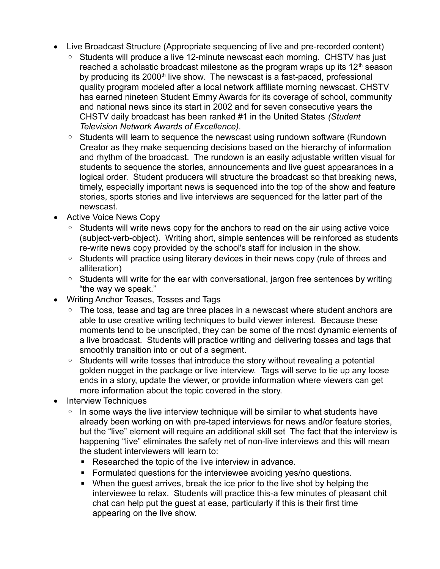- Live Broadcast Structure (Appropriate sequencing of live and pre-recorded content)
	- Students will produce a live 12-minute newscast each morning. CHSTV has just reached a scholastic broadcast milestone as the program wraps up its  $12<sup>th</sup>$  season by producing its  $2000<sup>th</sup>$  live show. The newscast is a fast-paced, professional quality program modeled after a local network affiliate morning newscast. CHSTV has earned nineteen Student Emmy Awards for its coverage of school, community and national news since its start in 2002 and for seven consecutive years the CHSTV daily broadcast has been ranked #1 in the United States *(Student Television Network Awards of Excellence).*
	- Students will learn to sequence the newscast using rundown software (Rundown Creator as they make sequencing decisions based on the hierarchy of information and rhythm of the broadcast. The rundown is an easily adjustable written visual for students to sequence the stories, announcements and live guest appearances in a logical order. Student producers will structure the broadcast so that breaking news, timely, especially important news is sequenced into the top of the show and feature stories, sports stories and live interviews are sequenced for the latter part of the newscast.
- Active Voice News Copy
	- Students will write news copy for the anchors to read on the air using active voice (subject-verb-object). Writing short, simple sentences will be reinforced as students re-write news copy provided by the school's staff for inclusion in the show.
	- Students will practice using literary devices in their news copy (rule of threes and alliteration)
	- Students will write for the ear with conversational, jargon free sentences by writing "the way we speak."
- Writing Anchor Teases, Tosses and Tags
	- The toss, tease and tag are three places in a newscast where student anchors are able to use creative writing techniques to build viewer interest. Because these moments tend to be unscripted, they can be some of the most dynamic elements of a live broadcast. Students will practice writing and delivering tosses and tags that smoothly transition into or out of a segment.
	- Students will write tosses that introduce the story without revealing a potential golden nugget in the package or live interview. Tags will serve to tie up any loose ends in a story, update the viewer, or provide information where viewers can get more information about the topic covered in the story.
- Interview Techniques
	- In some ways the live interview technique will be similar to what students have already been working on with pre-taped interviews for news and/or feature stories, but the "live" element will require an additional skill set The fact that the interview is happening "live" eliminates the safety net of non-live interviews and this will mean the student interviewers will learn to:
		- Researched the topic of the live interview in advance.
		- Formulated questions for the interviewee avoiding yes/no questions.
		- When the quest arrives, break the ice prior to the live shot by helping the interviewee to relax. Students will practice this-a few minutes of pleasant chit chat can help put the guest at ease, particularly if this is their first time appearing on the live show.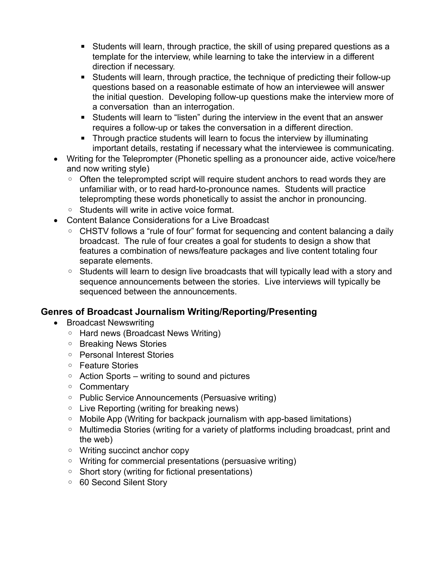- Students will learn, through practice, the skill of using prepared questions as a template for the interview, while learning to take the interview in a different direction if necessary.
- Students will learn, through practice, the technique of predicting their follow-up questions based on a reasonable estimate of how an interviewee will answer the initial question. Developing follow-up questions make the interview more of a conversation than an interrogation.
- Students will learn to "listen" during the interview in the event that an answer requires a follow-up or takes the conversation in a different direction.
- Through practice students will learn to focus the interview by illuminating important details, restating if necessary what the interviewee is communicating.
- Writing for the Teleprompter (Phonetic spelling as a pronouncer aide, active voice/here and now writing style)
	- Often the teleprompted script will require student anchors to read words they are unfamiliar with, or to read hard-to-pronounce names. Students will practice teleprompting these words phonetically to assist the anchor in pronouncing.
	- Students will write in active voice format.
- Content Balance Considerations for a Live Broadcast
	- CHSTV follows a "rule of four" format for sequencing and content balancing a daily broadcast. The rule of four creates a goal for students to design a show that features a combination of news/feature packages and live content totaling four separate elements.
	- Students will learn to design live broadcasts that will typically lead with a story and sequence announcements between the stories. Live interviews will typically be sequenced between the announcements.

## **Genres of Broadcast Journalism Writing/Reporting/Presenting**

- Broadcast Newswriting
	- Hard news (Broadcast News Writing)
	- Breaking News Stories
	- Personal Interest Stories
	- Feature Stories
	- Action Sports writing to sound and pictures
	- Commentary
	- Public Service Announcements (Persuasive writing)
	- Live Reporting (writing for breaking news)
	- Mobile App (Writing for backpack journalism with app-based limitations)
	- Multimedia Stories (writing for a variety of platforms including broadcast, print and the web)
	- Writing succinct anchor copy
	- Writing for commercial presentations (persuasive writing)
	- Short story (writing for fictional presentations)
	- 60 Second Silent Story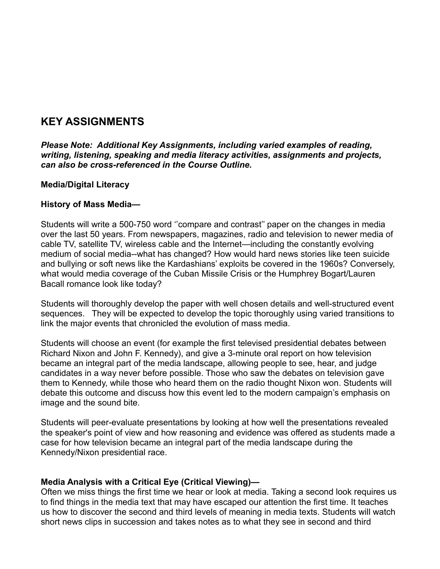# **KEY ASSIGNMENTS**

*Please Note: Additional Key Assignments, including varied examples of reading, writing, listening, speaking and media literacy activities, assignments and projects, can also be cross-referenced in the Course Outline.*

#### **Media/Digital Literacy**

#### **History of Mass Media—**

Students will write a 500-750 word ''compare and contrast'' paper on the changes in media over the last 50 years. From newspapers, magazines, radio and television to newer media of cable TV, satellite TV, wireless cable and the Internet—including the constantly evolving medium of social media--what has changed? How would hard news stories like teen suicide and bullying or soft news like the Kardashians' exploits be covered in the 1960s? Conversely, what would media coverage of the Cuban Missile Crisis or the Humphrey Bogart/Lauren Bacall romance look like today?

Students will thoroughly develop the paper with well chosen details and well-structured event sequences. They will be expected to develop the topic thoroughly using varied transitions to link the major events that chronicled the evolution of mass media.

Students will choose an event (for example the first televised presidential debates between Richard Nixon and John F. Kennedy), and give a 3-minute oral report on how television became an integral part of the media landscape, allowing people to see, hear, and judge candidates in a way never before possible. Those who saw the debates on television gave them to Kennedy, while those who heard them on the radio thought Nixon won. Students will debate this outcome and discuss how this event led to the modern campaign's emphasis on image and the sound bite.

Students will peer-evaluate presentations by looking at how well the presentations revealed the speaker's point of view and how reasoning and evidence was offered as students made a case for how television became an integral part of the media landscape during the Kennedy/Nixon presidential race.

#### **Media Analysis with a Critical Eye (Critical Viewing)—**

Often we miss things the first time we hear or look at media. Taking a second look requires us to find things in the media text that may have escaped our attention the first time. It teaches us how to discover the second and third levels of meaning in media texts. Students will watch short news clips in succession and takes notes as to what they see in second and third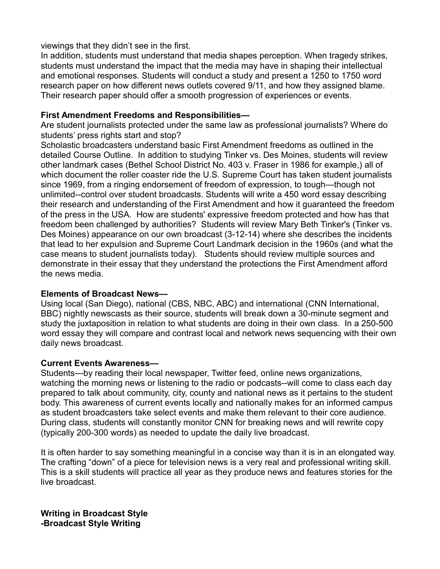viewings that they didn't see in the first.

In addition, students must understand that media shapes perception. When tragedy strikes, students must understand the impact that the media may have in shaping their intellectual and emotional responses. Students will conduct a study and present a 1250 to 1750 word research paper on how different news outlets covered 9/11, and how they assigned blame. Their research paper should offer a smooth progression of experiences or events.

#### **First Amendment Freedoms and Responsibilities—**

Are student journalists protected under the same law as professional journalists? Where do students' press rights start and stop?

Scholastic broadcasters understand basic First Amendment freedoms as outlined in the detailed Course Outline. In addition to studying Tinker vs. Des Moines, students will review other landmark cases (Bethel School District No. 403 v. Fraser in 1986 for example,) all of which document the roller coaster ride the U.S. Supreme Court has taken student journalists since 1969, from a ringing endorsement of freedom of expression, to tough—though not unlimited--control over student broadcasts. Students will write a 450 word essay describing their research and understanding of the First Amendment and how it guaranteed the freedom of the press in the USA. How are students' expressive freedom protected and how has that freedom been challenged by authorities? Students will review Mary Beth Tinker's (Tinker vs. Des Moines) appearance on our own broadcast (3-12-14) where she describes the incidents that lead to her expulsion and Supreme Court Landmark decision in the 1960s (and what the case means to student journalists today). Students should review multiple sources and demonstrate in their essay that they understand the protections the First Amendment afford the news media.

#### **Elements of Broadcast News—**

Using local (San Diego), national (CBS, NBC, ABC) and international (CNN International, BBC) nightly newscasts as their source, students will break down a 30-minute segment and study the juxtaposition in relation to what students are doing in their own class. In a 250-500 word essay they will compare and contrast local and network news sequencing with their own daily news broadcast.

#### **Current Events Awareness—**

Students—by reading their local newspaper, Twitter feed, online news organizations, watching the morning news or listening to the radio or podcasts--will come to class each day prepared to talk about community, city, county and national news as it pertains to the student body. This awareness of current events locally and nationally makes for an informed campus as student broadcasters take select events and make them relevant to their core audience. During class, students will constantly monitor CNN for breaking news and will rewrite copy (typically 200-300 words) as needed to update the daily live broadcast.

It is often harder to say something meaningful in a concise way than it is in an elongated way. The crafting "down" of a piece for television news is a very real and professional writing skill. This is a skill students will practice all year as they produce news and features stories for the live broadcast.

**Writing in Broadcast Style -Broadcast Style Writing**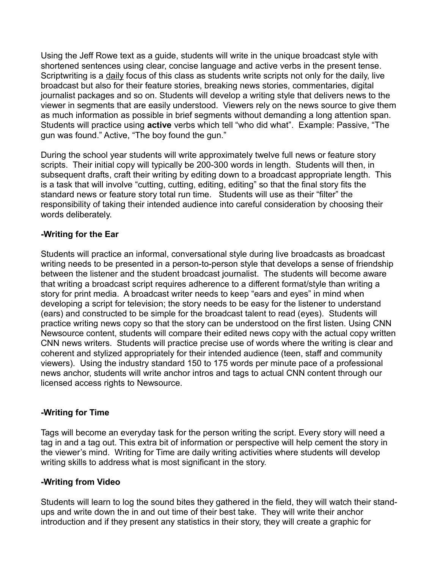Using the Jeff Rowe text as a guide, students will write in the unique broadcast style with shortened sentences using clear, concise language and active verbs in the present tense. Scriptwriting is a daily focus of this class as students write scripts not only for the daily, live broadcast but also for their feature stories, breaking news stories, commentaries, digital journalist packages and so on. Students will develop a writing style that delivers news to the viewer in segments that are easily understood. Viewers rely on the news source to give them as much information as possible in brief segments without demanding a long attention span. Students will practice using **active** verbs which tell "who did what". Example: Passive, "The gun was found." Active, "The boy found the gun."

During the school year students will write approximately twelve full news or feature story scripts. Their initial copy will typically be 200-300 words in length. Students will then, in subsequent drafts, craft their writing by editing down to a broadcast appropriate length. This is a task that will involve "cutting, cutting, editing, editing" so that the final story fits the standard news or feature story total run time. Students will use as their "filter" the responsibility of taking their intended audience into careful consideration by choosing their words deliberately.

#### **-Writing for the Ear**

Students will practice an informal, conversational style during live broadcasts as broadcast writing needs to be presented in a person-to-person style that develops a sense of friendship between the listener and the student broadcast journalist. The students will become aware that writing a broadcast script requires adherence to a different format/style than writing a story for print media. A broadcast writer needs to keep "ears and eyes" in mind when developing a script for television; the story needs to be easy for the listener to understand (ears) and constructed to be simple for the broadcast talent to read (eyes). Students will practice writing news copy so that the story can be understood on the first listen. Using CNN Newsource content, students will compare their edited news copy with the actual copy written CNN news writers. Students will practice precise use of words where the writing is clear and coherent and stylized appropriately for their intended audience (teen, staff and community viewers). Using the industry standard 150 to 175 words per minute pace of a professional news anchor, students will write anchor intros and tags to actual CNN content through our licensed access rights to Newsource.

#### **-Writing for Time**

Tags will become an everyday task for the person writing the script. Every story will need a tag in and a tag out. This extra bit of information or perspective will help cement the story in the viewer's mind. Writing for Time are daily writing activities where students will develop writing skills to address what is most significant in the story.

#### **-Writing from Video**

Students will learn to log the sound bites they gathered in the field, they will watch their standups and write down the in and out time of their best take. They will write their anchor introduction and if they present any statistics in their story, they will create a graphic for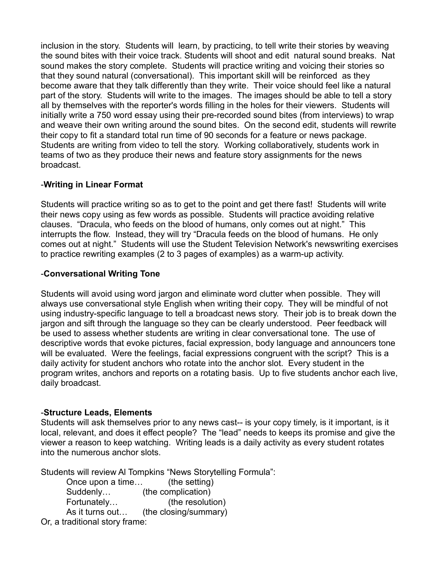inclusion in the story. Students will learn, by practicing, to tell write their stories by weaving the sound bites with their voice track. Students will shoot and edit natural sound breaks. Nat sound makes the story complete. Students will practice writing and voicing their stories so that they sound natural (conversational). This important skill will be reinforced as they become aware that they talk differently than they write. Their voice should feel like a natural part of the story. Students will write to the images. The images should be able to tell a story all by themselves with the reporter's words filling in the holes for their viewers. Students will initially write a 750 word essay using their pre-recorded sound bites (from interviews) to wrap and weave their own writing around the sound bites. On the second edit, students will rewrite their copy to fit a standard total run time of 90 seconds for a feature or news package. Students are writing from video to tell the story. Working collaboratively, students work in teams of two as they produce their news and feature story assignments for the news broadcast.

#### -**Writing in Linear Format**

Students will practice writing so as to get to the point and get there fast! Students will write their news copy using as few words as possible. Students will practice avoiding relative clauses. "Dracula, who feeds on the blood of humans, only comes out at night." This interrupts the flow. Instead, they will try "Dracula feeds on the blood of humans. He only comes out at night." Students will use the Student Television Network's newswriting exercises to practice rewriting examples (2 to 3 pages of examples) as a warm-up activity.

#### -**Conversational Writing Tone**

Students will avoid using word jargon and eliminate word clutter when possible. They will always use conversational style English when writing their copy. They will be mindful of not using industry-specific language to tell a broadcast news story. Their job is to break down the jargon and sift through the language so they can be clearly understood. Peer feedback will be used to assess whether students are writing in clear conversational tone. The use of descriptive words that evoke pictures, facial expression, body language and announcers tone will be evaluated. Were the feelings, facial expressions congruent with the script? This is a daily activity for student anchors who rotate into the anchor slot. Every student in the program writes, anchors and reports on a rotating basis. Up to five students anchor each live, daily broadcast.

#### -**Structure Leads, Elements**

Students will ask themselves prior to any news cast-- is your copy timely, is it important, is it local, relevant, and does it effect people? The "lead" needs to keeps its promise and give the viewer a reason to keep watching. Writing leads is a daily activity as every student rotates into the numerous anchor slots.

Students will review Al Tompkins "News Storytelling Formula":

Once upon a time… (the setting) Suddenly… (the complication) Fortunately… (the resolution) As it turns out… (the closing/summary) Or, a traditional story frame: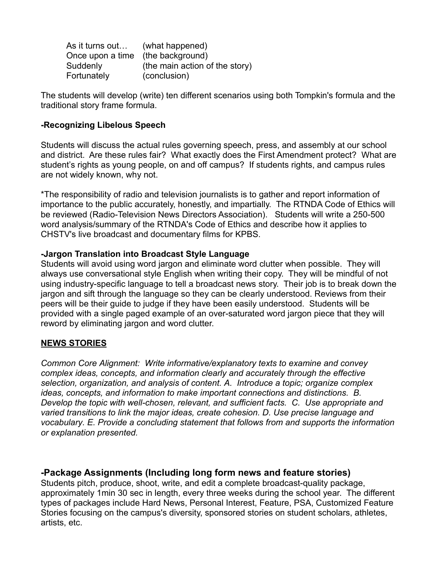| As it turns out                   | (what happened)                |
|-----------------------------------|--------------------------------|
| Once upon a time (the background) |                                |
| Suddenly                          | (the main action of the story) |
| Fortunately                       | (conclusion)                   |

The students will develop (write) ten different scenarios using both Tompkin's formula and the traditional story frame formula.

#### **-Recognizing Libelous Speech**

Students will discuss the actual rules governing speech, press, and assembly at our school and district. Are these rules fair? What exactly does the First Amendment protect? What are student's rights as young people, on and off campus? If students rights, and campus rules are not widely known, why not.

\*The responsibility of radio and television journalists is to gather and report information of importance to the public accurately, honestly, and impartially. The RTNDA Code of Ethics will be reviewed (Radio-Television News Directors Association). Students will write a 250-500 word analysis/summary of the RTNDA's Code of Ethics and describe how it applies to CHSTV's live broadcast and documentary films for KPBS.

#### **-Jargon Translation into Broadcast Style Language**

Students will avoid using word jargon and eliminate word clutter when possible. They will always use conversational style English when writing their copy. They will be mindful of not using industry-specific language to tell a broadcast news story. Their job is to break down the jargon and sift through the language so they can be clearly understood. Reviews from their peers will be their guide to judge if they have been easily understood. Students will be provided with a single paged example of an over-saturated word jargon piece that they will reword by eliminating jargon and word clutter.

#### **NEWS STORIES**

*Common Core Alignment: Write informative/explanatory texts to examine and convey complex ideas, concepts, and information clearly and accurately through the effective selection, organization, and analysis of content. A. Introduce a topic; organize complex ideas, concepts, and information to make important connections and distinctions. B. Develop the topic with well-chosen, relevant, and sufficient facts. C. Use appropriate and varied transitions to link the major ideas, create cohesion. D. Use precise language and vocabulary. E. Provide a concluding statement that follows from and supports the information or explanation presented.*

#### **-Package Assignments (Including long form news and feature stories)**

Students pitch, produce, shoot, write, and edit a complete broadcast-quality package, approximately 1min 30 sec in length, every three weeks during the school year. The different types of packages include Hard News, Personal Interest, Feature, PSA, Customized Feature Stories focusing on the campus's diversity, sponsored stories on student scholars, athletes, artists, etc.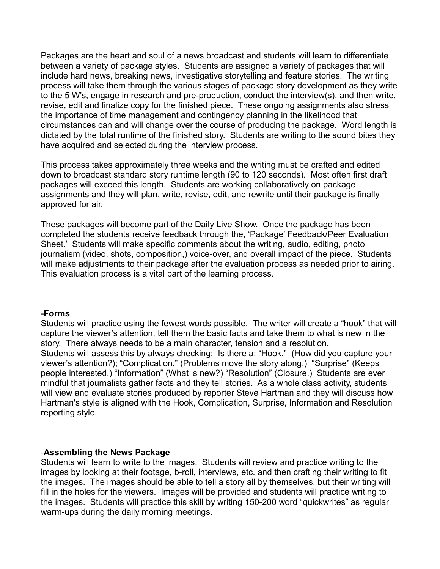Packages are the heart and soul of a news broadcast and students will learn to differentiate between a variety of package styles. Students are assigned a variety of packages that will include hard news, breaking news, investigative storytelling and feature stories. The writing process will take them through the various stages of package story development as they write to the 5 W's, engage in research and pre-production, conduct the interview(s), and then write, revise, edit and finalize copy for the finished piece. These ongoing assignments also stress the importance of time management and contingency planning in the likelihood that circumstances can and will change over the course of producing the package. Word length is dictated by the total runtime of the finished story. Students are writing to the sound bites they have acquired and selected during the interview process.

This process takes approximately three weeks and the writing must be crafted and edited down to broadcast standard story runtime length (90 to 120 seconds). Most often first draft packages will exceed this length. Students are working collaboratively on package assignments and they will plan, write, revise, edit, and rewrite until their package is finally approved for air.

These packages will become part of the Daily Live Show. Once the package has been completed the students receive feedback through the, 'Package' Feedback/Peer Evaluation Sheet.' Students will make specific comments about the writing, audio, editing, photo journalism (video, shots, composition,) voice-over, and overall impact of the piece. Students will make adjustments to their package after the evaluation process as needed prior to airing. This evaluation process is a vital part of the learning process.

#### **-Forms**

Students will practice using the fewest words possible. The writer will create a "hook" that will capture the viewer's attention, tell them the basic facts and take them to what is new in the story. There always needs to be a main character, tension and a resolution. Students will assess this by always checking: Is there a: "Hook." (How did you capture your viewer's attention?); "Complication." (Problems move the story along.) "Surprise" (Keeps people interested.) "Information" (What is new?) "Resolution" (Closure.) Students are ever mindful that journalists gather facts and they tell stories. As a whole class activity, students will view and evaluate stories produced by reporter Steve Hartman and they will discuss how Hartman's style is aligned with the Hook, Complication, Surprise, Information and Resolution reporting style.

#### -**Assembling the News Package**

Students will learn to write to the images. Students will review and practice writing to the images by looking at their footage, b-roll, interviews, etc. and then crafting their writing to fit the images. The images should be able to tell a story all by themselves, but their writing will fill in the holes for the viewers. Images will be provided and students will practice writing to the images. Students will practice this skill by writing 150-200 word "quickwrites" as regular warm-ups during the daily morning meetings.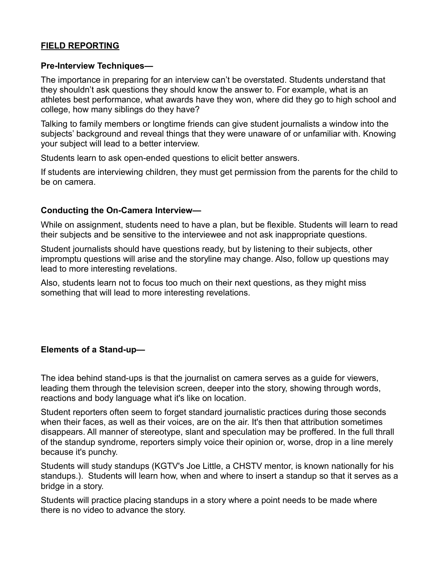#### **FIELD REPORTING**

#### **Pre-Interview Techniques—**

The importance in preparing for an interview can't be overstated. Students understand that they shouldn't ask questions they should know the answer to. For example, what is an athletes best performance, what awards have they won, where did they go to high school and college, how many siblings do they have?

Talking to family members or longtime friends can give student journalists a window into the subjects' background and reveal things that they were unaware of or unfamiliar with. Knowing your subject will lead to a better interview.

Students learn to ask open-ended questions to elicit better answers.

If students are interviewing children, they must get permission from the parents for the child to be on camera.

#### **Conducting the On-Camera Interview—**

While on assignment, students need to have a plan, but be flexible. Students will learn to read their subjects and be sensitive to the interviewee and not ask inappropriate questions.

Student journalists should have questions ready, but by listening to their subjects, other impromptu questions will arise and the storyline may change. Also, follow up questions may lead to more interesting revelations.

Also, students learn not to focus too much on their next questions, as they might miss something that will lead to more interesting revelations.

#### **Elements of a Stand-up—**

The idea behind stand-ups is that the journalist on camera serves as a guide for viewers, leading them through the television screen, deeper into the story, showing through words, reactions and body language what it's like on location.

Student reporters often seem to forget standard journalistic practices during those seconds when their faces, as well as their voices, are on the air. It's then that attribution sometimes disappears. All manner of stereotype, slant and speculation may be proffered. In the full thrall of the standup syndrome, reporters simply voice their opinion or, worse, drop in a line merely because it's punchy.

Students will study standups (KGTV's Joe Little, a CHSTV mentor, is known nationally for his standups.). Students will learn how, when and where to insert a standup so that it serves as a bridge in a story.

Students will practice placing standups in a story where a point needs to be made where there is no video to advance the story.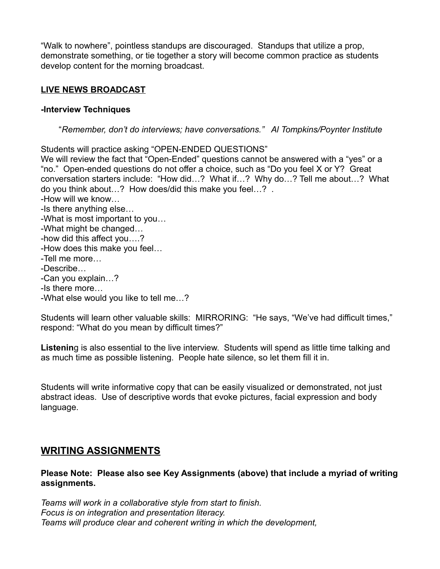"Walk to nowhere", pointless standups are discouraged. Standups that utilize a prop, demonstrate something, or tie together a story will become common practice as students develop content for the morning broadcast.

#### **LIVE NEWS BROADCAST**

#### **-Interview Techniques**

"*Remember, don't do interviews; have conversations." Al Tompkins/Poynter Institute*

Students will practice asking "OPEN-ENDED QUESTIONS" We will review the fact that "Open-Ended" questions cannot be answered with a "yes" or a "no." Open-ended questions do not offer a choice, such as "Do you feel X or Y? Great conversation starters include: "How did…? What if…? Why do…? Tell me about…? What do you think about…? How does/did this make you feel…? . -How will we know… -Is there anything else… -What is most important to you… -What might be changed… -how did this affect you….? -How does this make you feel… -Tell me more… -Describe… -Can you explain…?

- -Is there more…
- -What else would you like to tell me…?

Students will learn other valuable skills: MIRRORING: "He says, "We've had difficult times," respond: "What do you mean by difficult times?"

**Listenin**g is also essential to the live interview. Students will spend as little time talking and as much time as possible listening. People hate silence, so let them fill it in.

Students will write informative copy that can be easily visualized or demonstrated, not just abstract ideas. Use of descriptive words that evoke pictures, facial expression and body language.

## **WRITING ASSIGNMENTS**

#### **Please Note: Please also see Key Assignments (above) that include a myriad of writing assignments.**

*Teams will work in a collaborative style from start to finish. Focus is on integration and presentation literacy. Teams will produce clear and coherent writing in which the development,*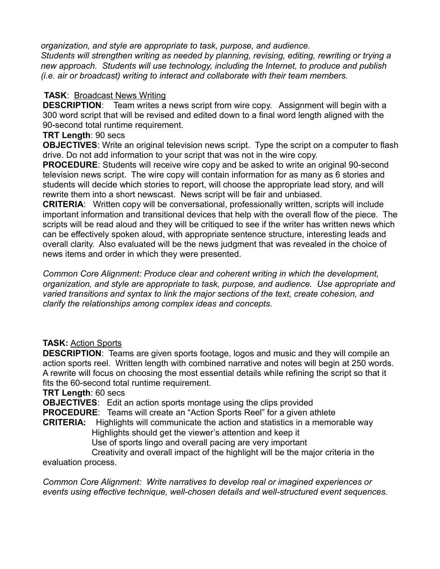*organization, and style are appropriate to task, purpose, and audience. Students will strengthen writing as needed by planning, revising, editing, rewriting or trying a new approach. Students will use technology, including the Internet, to produce and publish (i.e. air or broadcast) writing to interact and collaborate with their team members.*

#### **TASK**: Broadcast News Writing

**DESCRIPTION**: Team writes a news script from wire copy. Assignment will begin with a 300 word script that will be revised and edited down to a final word length aligned with the 90-second total runtime requirement.

#### **TRT Length**: 90 secs

**OBJECTIVES**: Write an original television news script. Type the script on a computer to flash drive. Do not add information to your script that was not in the wire copy.

**PROCEDURE:** Students will receive wire copy and be asked to write an original 90-second television news script. The wire copy will contain information for as many as 6 stories and students will decide which stories to report, will choose the appropriate lead story, and will rewrite them into a short newscast. News script will be fair and unbiased.

**CRITERIA**: Written copy will be conversational, professionally written, scripts will include important information and transitional devices that help with the overall flow of the piece. The scripts will be read aloud and they will be critiqued to see if the writer has written news which can be effectively spoken aloud, with appropriate sentence structure, interesting leads and overall clarity. Also evaluated will be the news judgment that was revealed in the choice of news items and order in which they were presented.

*Common Core Alignment: Produce clear and coherent writing in which the development, organization, and style are appropriate to task, purpose, and audience. Use appropriate and varied transitions and syntax to link the major sections of the text, create cohesion, and clarify the relationships among complex ideas and concepts.*

#### **TASK:** Action Sports

**DESCRIPTION**: Teams are given sports footage, logos and music and they will compile an action sports reel. Written length with combined narrative and notes will begin at 250 words. A rewrite will focus on choosing the most essential details while refining the script so that it fits the 60-second total runtime requirement.

#### **TRT Length**: 60 secs

**OBJECTIVES**: Edit an action sports montage using the clips provided

**PROCEDURE**: Teams will create an "Action Sports Reel" for a given athlete

**CRITERIA:** Highlights will communicate the action and statistics in a memorable way Highlights should get the viewer's attention and keep it

Use of sports lingo and overall pacing are very important

Creativity and overall impact of the highlight will be the major criteria in the evaluation process.

*Common Core Alignment: Write narratives to develop real or imagined experiences or events using effective technique, well-chosen details and well-structured event sequences.*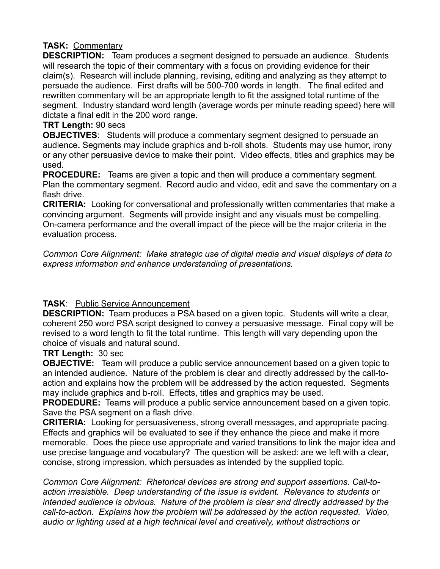#### **TASK:** Commentary

**DESCRIPTION:** Team produces a segment designed to persuade an audience. Students will research the topic of their commentary with a focus on providing evidence for their claim(s). Research will include planning, revising, editing and analyzing as they attempt to persuade the audience. First drafts will be 500-700 words in length. The final edited and rewritten commentary will be an appropriate length to fit the assigned total runtime of the segment. Industry standard word length (average words per minute reading speed) here will dictate a final edit in the 200 word range.

#### **TRT Length:** 90 secs

**OBJECTIVES**: Students will produce a commentary segment designed to persuade an audience**.** Segments may include graphics and b-roll shots. Students may use humor, irony or any other persuasive device to make their point. Video effects, titles and graphics may be used.

**PROCEDURE:** Teams are given a topic and then will produce a commentary segment. Plan the commentary segment. Record audio and video, edit and save the commentary on a flash drive.

**CRITERIA:** Looking for conversational and professionally written commentaries that make a convincing argument. Segments will provide insight and any visuals must be compelling. On-camera performance and the overall impact of the piece will be the major criteria in the evaluation process.

*Common Core Alignment: Make strategic use of digital media and visual displays of data to express information and enhance understanding of presentations.* 

#### **TASK**: Public Service Announcement

**DESCRIPTION:** Team produces a PSA based on a given topic. Students will write a clear, coherent 250 word PSA script designed to convey a persuasive message. Final copy will be revised to a word length to fit the total runtime. This length will vary depending upon the choice of visuals and natural sound.

#### **TRT Length:** 30 sec

**OBJECTIVE:** Team will produce a public service announcement based on a given topic to an intended audience. Nature of the problem is clear and directly addressed by the call-toaction and explains how the problem will be addressed by the action requested. Segments may include graphics and b-roll. Effects, titles and graphics may be used.

**PRODEDURE:** Teams will produce a public service announcement based on a given topic. Save the PSA segment on a flash drive.

**CRITERIA:** Looking for persuasiveness, strong overall messages, and appropriate pacing. Effects and graphics will be evaluated to see if they enhance the piece and make it more memorable. Does the piece use appropriate and varied transitions to link the major idea and use precise language and vocabulary? The question will be asked: are we left with a clear, concise, strong impression, which persuades as intended by the supplied topic.

*Common Core Alignment: Rhetorical devices are strong and support assertions. Call-toaction irresistible. Deep understanding of the issue is evident. Relevance to students or intended audience is obvious. Nature of the problem is clear and directly addressed by the call-to-action. Explains how the problem will be addressed by the action requested. Video, audio or lighting used at a high technical level and creatively, without distractions or*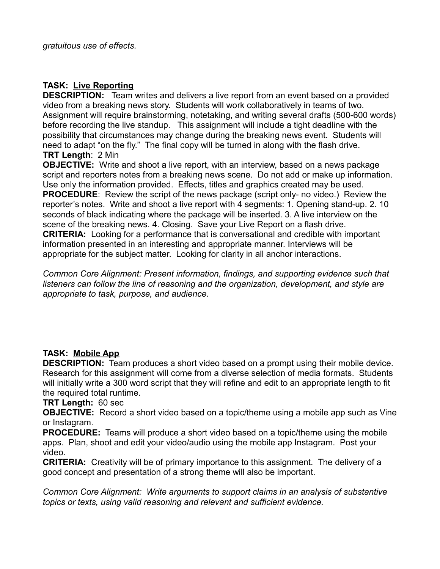#### **TASK: Live Reporting**

**DESCRIPTION:** Team writes and delivers a live report from an event based on a provided video from a breaking news story. Students will work collaboratively in teams of two. Assignment will require brainstorming, notetaking, and writing several drafts (500-600 words) before recording the live standup. This assignment will include a tight deadline with the possibility that circumstances may change during the breaking news event. Students will need to adapt "on the fly." The final copy will be turned in along with the flash drive. **TRT Length**: 2 Min

**OBJECTIVE:** Write and shoot a live report, with an interview, based on a news package script and reporters notes from a breaking news scene. Do not add or make up information. Use only the information provided. Effects, titles and graphics created may be used. **PROCEDURE**: Review the script of the news package (script only- no video.) Review the reporter's notes. Write and shoot a live report with 4 segments: 1. Opening stand-up. 2. 10 seconds of black indicating where the package will be inserted. 3. A live interview on the scene of the breaking news. 4. Closing. Save your Live Report on a flash drive. **CRITERIA:** Looking for a performance that is conversational and credible with important information presented in an interesting and appropriate manner. Interviews will be appropriate for the subject matter. Looking for clarity in all anchor interactions.

*Common Core Alignment: Present information, findings, and supporting evidence such that listeners can follow the line of reasoning and the organization, development, and style are appropriate to task, purpose, and audience.*

#### **TASK: Mobile App**

**DESCRIPTION:** Team produces a short video based on a prompt using their mobile device. Research for this assignment will come from a diverse selection of media formats. Students will initially write a 300 word script that they will refine and edit to an appropriate length to fit the required total runtime.

**TRT Length:** 60 sec

**OBJECTIVE:** Record a short video based on a topic/theme using a mobile app such as Vine or Instagram.

**PROCEDURE:** Teams will produce a short video based on a topic/theme using the mobile apps. Plan, shoot and edit your video/audio using the mobile app Instagram. Post your video.

**CRITERIA:** Creativity will be of primary importance to this assignment. The delivery of a good concept and presentation of a strong theme will also be important.

*Common Core Alignment: Write arguments to support claims in an analysis of substantive topics or texts, using valid reasoning and relevant and sufficient evidence.*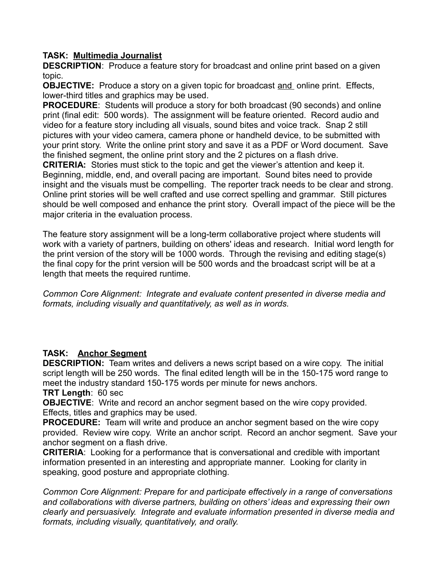#### **TASK: Multimedia Journalist**

**DESCRIPTION**: Produce a feature story for broadcast and online print based on a given topic.

**OBJECTIVE:** Produce a story on a given topic for broadcast and online print. Effects, lower-third titles and graphics may be used.

**PROCEDURE**: Students will produce a story for both broadcast (90 seconds) and online print (final edit: 500 words). The assignment will be feature oriented. Record audio and video for a feature story including all visuals, sound bites and voice track. Snap 2 still pictures with your video camera, camera phone or handheld device, to be submitted with your print story. Write the online print story and save it as a PDF or Word document. Save the finished segment, the online print story and the 2 pictures on a flash drive.

**CRITERIA:** Stories must stick to the topic and get the viewer's attention and keep it. Beginning, middle, end, and overall pacing are important. Sound bites need to provide insight and the visuals must be compelling. The reporter track needs to be clear and strong. Online print stories will be well crafted and use correct spelling and grammar. Still pictures should be well composed and enhance the print story. Overall impact of the piece will be the major criteria in the evaluation process.

The feature story assignment will be a long-term collaborative project where students will work with a variety of partners, building on others' ideas and research. Initial word length for the print version of the story will be 1000 words. Through the revising and editing stage(s) the final copy for the print version will be 500 words and the broadcast script will be at a length that meets the required runtime.

*Common Core Alignment: Integrate and evaluate content presented in diverse media and formats, including visually and quantitatively, as well as in words.* 

#### **TASK: Anchor Segment**

**DESCRIPTION:** Team writes and delivers a news script based on a wire copy. The initial script length will be 250 words. The final edited length will be in the 150-175 word range to meet the industry standard 150-175 words per minute for news anchors.

**TRT Length**: 60 sec

**OBJECTIVE:** Write and record an anchor segment based on the wire copy provided. Effects, titles and graphics may be used.

**PROCEDURE:** Team will write and produce an anchor segment based on the wire copy provided. Review wire copy. Write an anchor script. Record an anchor segment. Save your anchor segment on a flash drive.

**CRITERIA**: Looking for a performance that is conversational and credible with important information presented in an interesting and appropriate manner. Looking for clarity in speaking, good posture and appropriate clothing.

*Common Core Alignment: Prepare for and participate effectively in a range of conversations and collaborations with diverse partners, building on others' ideas and expressing their own clearly and persuasively. Integrate and evaluate information presented in diverse media and formats, including visually, quantitatively, and orally.*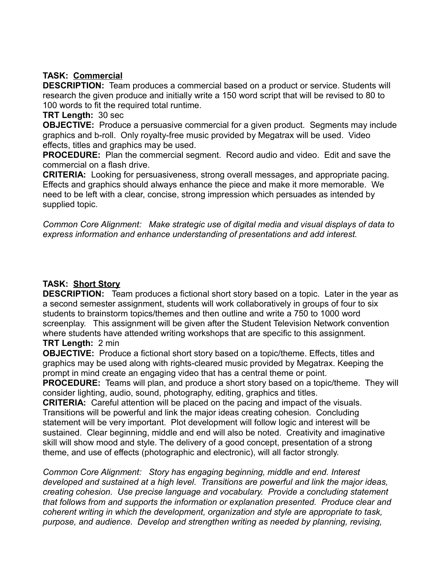#### **TASK: Commercial**

**DESCRIPTION:** Team produces a commercial based on a product or service. Students will research the given produce and initially write a 150 word script that will be revised to 80 to 100 words to fit the required total runtime.

**TRT Length:** 30 sec

**OBJECTIVE:** Produce a persuasive commercial for a given product. Segments may include graphics and b-roll. Only royalty-free music provided by Megatrax will be used. Video effects, titles and graphics may be used.

**PROCEDURE:** Plan the commercial segment. Record audio and video. Edit and save the commercial on a flash drive.

**CRITERIA:** Looking for persuasiveness, strong overall messages, and appropriate pacing. Effects and graphics should always enhance the piece and make it more memorable. We need to be left with a clear, concise, strong impression which persuades as intended by supplied topic.

*Common Core Alignment: Make strategic use of digital media and visual displays of data to express information and enhance understanding of presentations and add interest.*

#### **TASK: Short Story**

**DESCRIPTION:** Team produces a fictional short story based on a topic. Later in the year as a second semester assignment, students will work collaboratively in groups of four to six students to brainstorm topics/themes and then outline and write a 750 to 1000 word screenplay. This assignment will be given after the Student Television Network convention where students have attended writing workshops that are specific to this assignment.

### **TRT Length:** 2 min

**OBJECTIVE:** Produce a fictional short story based on a topic/theme. Effects, titles and graphics may be used along with rights-cleared music provided by Megatrax. Keeping the prompt in mind create an engaging video that has a central theme or point.

**PROCEDURE:** Teams will plan, and produce a short story based on a topic/theme. They will consider lighting, audio, sound, photography, editing, graphics and titles.

**CRITERIA:** Careful attention will be placed on the pacing and impact of the visuals. Transitions will be powerful and link the major ideas creating cohesion. Concluding statement will be very important. Plot development will follow logic and interest will be sustained. Clear beginning, middle and end will also be noted. Creativity and imaginative skill will show mood and style. The delivery of a good concept, presentation of a strong theme, and use of effects (photographic and electronic), will all factor strongly.

*Common Core Alignment: Story has engaging beginning, middle and end. Interest developed and sustained at a high level. Transitions are powerful and link the major ideas, creating cohesion. Use precise language and vocabulary. Provide a concluding statement that follows from and supports the information or explanation presented. Produce clear and coherent writing in which the development, organization and style are appropriate to task, purpose, and audience. Develop and strengthen writing as needed by planning, revising,*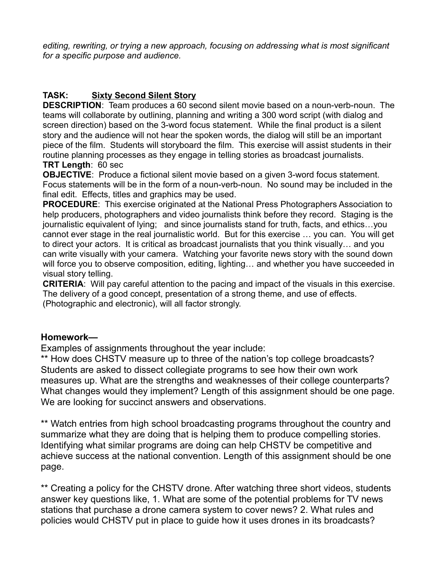*editing, rewriting, or trying a new approach, focusing on addressing what is most significant for a specific purpose and audience.* 

### **TASK: Sixty Second Silent Story**

**DESCRIPTION**: Team produces a 60 second silent movie based on a noun-verb-noun. The teams will collaborate by outlining, planning and writing a 300 word script (with dialog and screen direction) based on the 3-word focus statement. While the final product is a silent story and the audience will not hear the spoken words, the dialog will still be an important piece of the film. Students will storyboard the film. This exercise will assist students in their routine planning processes as they engage in telling stories as broadcast journalists. **TRT Length**: 60 sec

**OBJECTIVE**: Produce a fictional silent movie based on a given 3-word focus statement. Focus statements will be in the form of a noun-verb-noun. No sound may be included in the final edit. Effects, titles and graphics may be used.

**PROCEDURE**: This exercise originated at the National Press Photographers Association to help producers, photographers and video journalists think before they record. Staging is the journalistic equivalent of lying; and since journalists stand for truth, facts, and ethics…you cannot ever stage in the real journalistic world. But for this exercise … you can. You will get to direct your actors. It is critical as broadcast journalists that you think visually… and you can write visually with your camera. Watching your favorite news story with the sound down will force you to observe composition, editing, lighting… and whether you have succeeded in visual story telling.

**CRITERIA**: Will pay careful attention to the pacing and impact of the visuals in this exercise. The delivery of a good concept, presentation of a strong theme, and use of effects. (Photographic and electronic), will all factor strongly.

#### **Homework—**

Examples of assignments throughout the year include:

\*\* How does CHSTV measure up to three of the nation's top college broadcasts? Students are asked to dissect collegiate programs to see how their own work measures up. What are the strengths and weaknesses of their college counterparts? What changes would they implement? Length of this assignment should be one page. We are looking for succinct answers and observations.

\*\* Watch entries from high school broadcasting programs throughout the country and summarize what they are doing that is helping them to produce compelling stories. Identifying what similar programs are doing can help CHSTV be competitive and achieve success at the national convention. Length of this assignment should be one page.

\*\* Creating a policy for the CHSTV drone. After watching three short videos, students answer key questions like, 1. What are some of the potential problems for TV news stations that purchase a drone camera system to cover news? 2. What rules and policies would CHSTV put in place to guide how it uses drones in its broadcasts?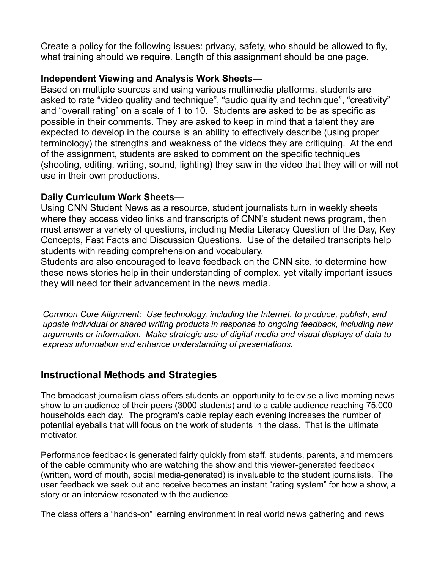Create a policy for the following issues: privacy, safety, who should be allowed to fly, what training should we require. Length of this assignment should be one page.

### **Independent Viewing and Analysis Work Sheets—**

Based on multiple sources and using various multimedia platforms, students are asked to rate "video quality and technique", "audio quality and technique", "creativity" and "overall rating" on a scale of 1 to 10. Students are asked to be as specific as possible in their comments. They are asked to keep in mind that a talent they are expected to develop in the course is an ability to effectively describe (using proper terminology) the strengths and weakness of the videos they are critiquing. At the end of the assignment, students are asked to comment on the specific techniques (shooting, editing, writing, sound, lighting) they saw in the video that they will or will not use in their own productions.

### **Daily Curriculum Work Sheets—**

Using CNN Student News as a resource, student journalists turn in weekly sheets where they access video links and transcripts of CNN's student news program, then must answer a variety of questions, including Media Literacy Question of the Day, Key Concepts, Fast Facts and Discussion Questions. Use of the detailed transcripts help students with reading comprehension and vocabulary.

Students are also encouraged to leave feedback on the CNN site, to determine how these news stories help in their understanding of complex, yet vitally important issues they will need for their advancement in the news media.

*Common Core Alignment: Use technology, including the Internet, to produce, publish, and update individual or shared writing products in response to ongoing feedback, including new arguments or information. Make strategic use of digital media and visual displays of data to express information and enhance understanding of presentations.*

## **Instructional Methods and Strategies**

The broadcast journalism class offers students an opportunity to televise a live morning news show to an audience of their peers (3000 students) and to a cable audience reaching 75,000 households each day. The program's cable replay each evening increases the number of potential eyeballs that will focus on the work of students in the class. That is the ultimate motivator.

Performance feedback is generated fairly quickly from staff, students, parents, and members of the cable community who are watching the show and this viewer-generated feedback (written, word of mouth, social media-generated) is invaluable to the student journalists. The user feedback we seek out and receive becomes an instant "rating system" for how a show, a story or an interview resonated with the audience.

The class offers a "hands-on" learning environment in real world news gathering and news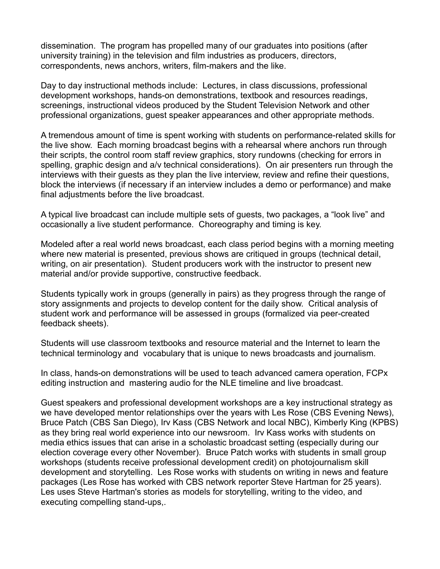dissemination. The program has propelled many of our graduates into positions (after university training) in the television and film industries as producers, directors, correspondents, news anchors, writers, film-makers and the like.

Day to day instructional methods include: Lectures, in class discussions, professional development workshops, hands-on demonstrations, textbook and resources readings, screenings, instructional videos produced by the Student Television Network and other professional organizations, guest speaker appearances and other appropriate methods.

A tremendous amount of time is spent working with students on performance-related skills for the live show. Each morning broadcast begins with a rehearsal where anchors run through their scripts, the control room staff review graphics, story rundowns (checking for errors in spelling, graphic design and a/v technical considerations). On air presenters run through the interviews with their guests as they plan the live interview, review and refine their questions, block the interviews (if necessary if an interview includes a demo or performance) and make final adjustments before the live broadcast.

A typical live broadcast can include multiple sets of guests, two packages, a "look live" and occasionally a live student performance. Choreography and timing is key.

Modeled after a real world news broadcast, each class period begins with a morning meeting where new material is presented, previous shows are critiqued in groups (technical detail, writing, on air presentation). Student producers work with the instructor to present new material and/or provide supportive, constructive feedback.

Students typically work in groups (generally in pairs) as they progress through the range of story assignments and projects to develop content for the daily show. Critical analysis of student work and performance will be assessed in groups (formalized via peer-created feedback sheets).

Students will use classroom textbooks and resource material and the Internet to learn the technical terminology and vocabulary that is unique to news broadcasts and journalism.

In class, hands-on demonstrations will be used to teach advanced camera operation, FCPx editing instruction and mastering audio for the NLE timeline and live broadcast.

Guest speakers and professional development workshops are a key instructional strategy as we have developed mentor relationships over the years with Les Rose (CBS Evening News), Bruce Patch (CBS San Diego), Irv Kass (CBS Network and local NBC), Kimberly King (KPBS) as they bring real world experience into our newsroom. Irv Kass works with students on media ethics issues that can arise in a scholastic broadcast setting (especially during our election coverage every other November). Bruce Patch works with students in small group workshops (students receive professional development credit) on photojournalism skill development and storytelling. Les Rose works with students on writing in news and feature packages (Les Rose has worked with CBS network reporter Steve Hartman for 25 years). Les uses Steve Hartman's stories as models for storytelling, writing to the video, and executing compelling stand-ups,.